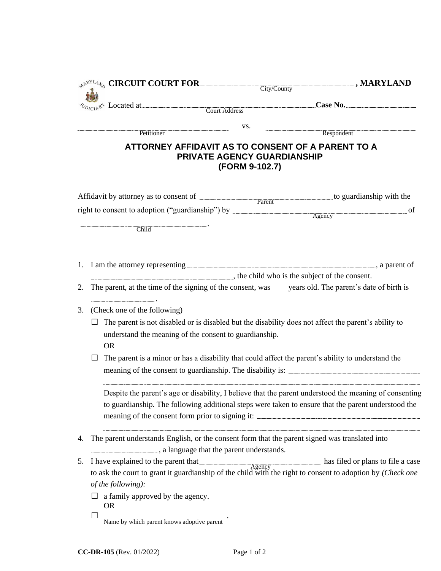|    | $\mathcal{L}^{\mathcal{N}^{\text{R}YLA}}$ CIRCUIT COURT FOR City/County                                                                                                                                       |                | $\Box$ , MARYLAND |  |  |
|----|---------------------------------------------------------------------------------------------------------------------------------------------------------------------------------------------------------------|----------------|-------------------|--|--|
|    |                                                                                                                                                                                                               |                |                   |  |  |
|    | $\alpha_{D_{IC1}A}$ <sup>{</sup> Located at $\qquad$ Court Address                                                                                                                                            |                |                   |  |  |
|    |                                                                                                                                                                                                               | VS.            |                   |  |  |
|    | Petitioner                                                                                                                                                                                                    |                | Respondent        |  |  |
|    | ATTORNEY AFFIDAVIT AS TO CONSENT OF A PARENT TO A<br>PRIVATE AGENCY GUARDIANSHIP                                                                                                                              | (FORM 9-102.7) |                   |  |  |
|    | Affidavit by attorney as to consent of Parent by Parent by attorney as to consent of Parent                                                                                                                   |                |                   |  |  |
|    |                                                                                                                                                                                                               |                | of                |  |  |
|    |                                                                                                                                                                                                               |                |                   |  |  |
|    | Child                                                                                                                                                                                                         |                |                   |  |  |
|    |                                                                                                                                                                                                               |                |                   |  |  |
|    | the child who is the subject of the consent.                                                                                                                                                                  |                |                   |  |  |
| 2. | The parent, at the time of the signing of the consent, was _____ years old. The parent's date of birth is                                                                                                     |                |                   |  |  |
| 3. | (Check one of the following)                                                                                                                                                                                  |                |                   |  |  |
|    | The parent is not disabled or is disabled but the disability does not affect the parent's ability to<br>$\sqcup$                                                                                              |                |                   |  |  |
|    | understand the meaning of the consent to guardianship.<br><b>OR</b>                                                                                                                                           |                |                   |  |  |
|    | The parent is a minor or has a disability that could affect the parent's ability to understand the<br>meaning of the consent to guardianship. The disability is:                                              |                |                   |  |  |
|    | Despite the parent's age or disability, I believe that the parent understood the meaning of consenting<br>to guardianship. The following additional steps were taken to ensure that the parent understood the |                |                   |  |  |
| 4. | The parent understands English, or the consent form that the parent signed was translated into<br>a language that the parent understands.                                                                     |                |                   |  |  |
| 5. | I have explained to the parent that Agency has filed or plans to file a case                                                                                                                                  |                |                   |  |  |
|    | to ask the court to grant it guardianship of the child with the right to consent to adoption by (Check one                                                                                                    |                |                   |  |  |
|    | of the following):                                                                                                                                                                                            |                |                   |  |  |
|    | a family approved by the agency.<br><b>OR</b>                                                                                                                                                                 |                |                   |  |  |
|    | Name by which parent knows adoptive parent                                                                                                                                                                    |                |                   |  |  |
|    |                                                                                                                                                                                                               |                |                   |  |  |